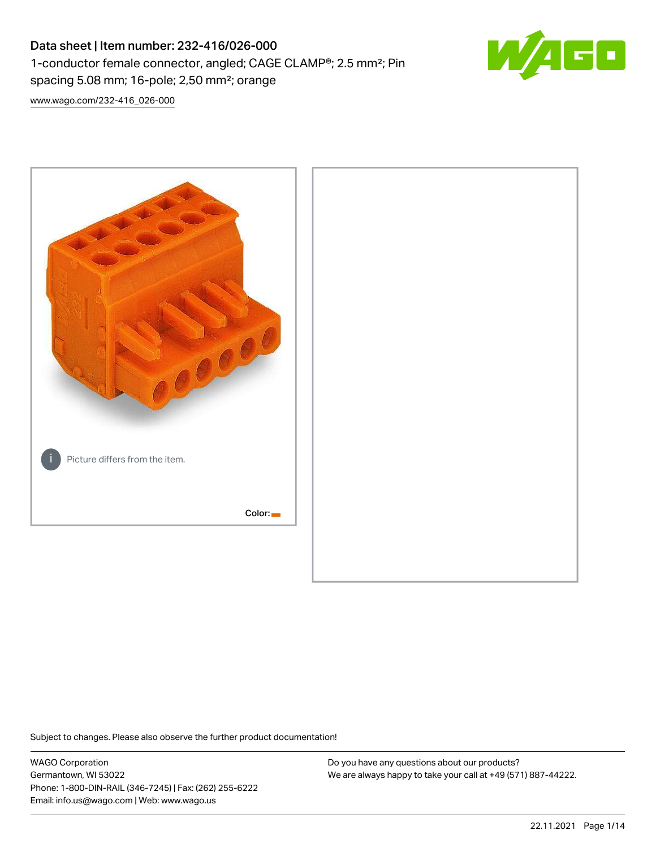# Data sheet | Item number: 232-416/026-000 1-conductor female connector, angled; CAGE CLAMP®; 2.5 mm²; Pin spacing 5.08 mm; 16-pole; 2,50 mm²; orange



[www.wago.com/232-416\\_026-000](http://www.wago.com/232-416_026-000)



Subject to changes. Please also observe the further product documentation!

WAGO Corporation Germantown, WI 53022 Phone: 1-800-DIN-RAIL (346-7245) | Fax: (262) 255-6222 Email: info.us@wago.com | Web: www.wago.us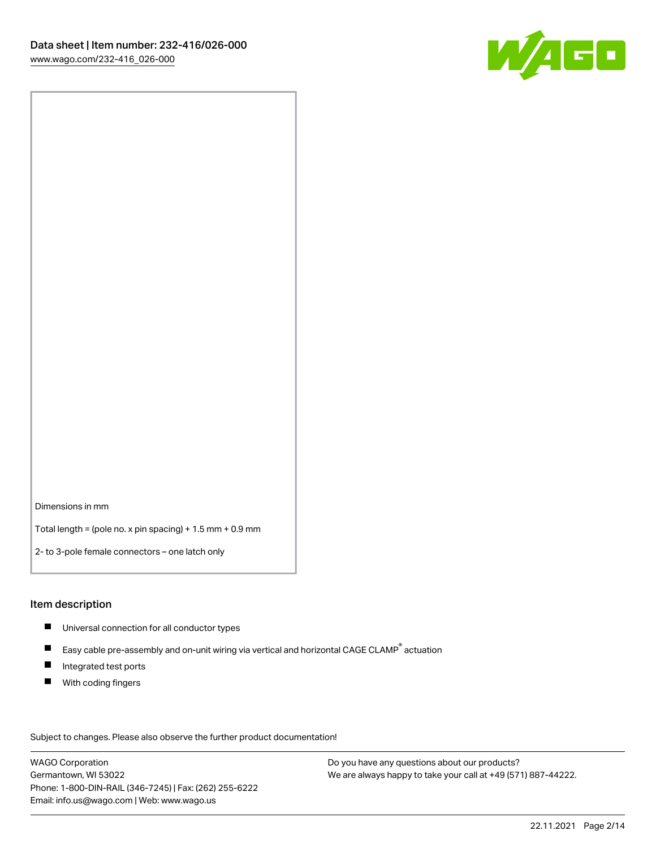

Dimensions in mm

Total length = (pole no. x pin spacing) + 1.5 mm + 0.9 mm

2- to 3-pole female connectors – one latch only

#### Item description

- **Universal connection for all conductor types**
- Easy cable pre-assembly and on-unit wiring via vertical and horizontal CAGE CLAMP<sup>®</sup> actuation  $\blacksquare$
- $\blacksquare$ Integrated test ports
- $\blacksquare$ With coding fingers

Subject to changes. Please also observe the further product documentation! Data

WAGO Corporation Germantown, WI 53022 Phone: 1-800-DIN-RAIL (346-7245) | Fax: (262) 255-6222 Email: info.us@wago.com | Web: www.wago.us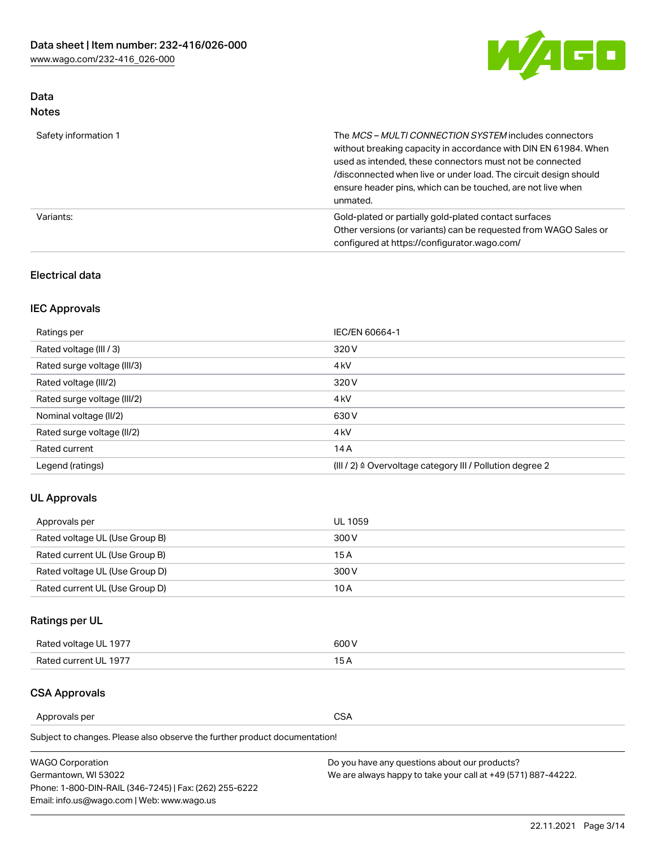

## Data Notes

| Safety information 1 | The MCS-MULTI CONNECTION SYSTEM includes connectors<br>without breaking capacity in accordance with DIN EN 61984. When<br>used as intended, these connectors must not be connected<br>/disconnected when live or under load. The circuit design should<br>ensure header pins, which can be touched, are not live when<br>unmated. |
|----------------------|-----------------------------------------------------------------------------------------------------------------------------------------------------------------------------------------------------------------------------------------------------------------------------------------------------------------------------------|
| Variants:            | Gold-plated or partially gold-plated contact surfaces<br>Other versions (or variants) can be requested from WAGO Sales or<br>configured at https://configurator.wago.com/                                                                                                                                                         |

### Electrical data

## IEC Approvals

| Ratings per                 | IEC/EN 60664-1                                                        |
|-----------------------------|-----------------------------------------------------------------------|
| Rated voltage (III / 3)     | 320 V                                                                 |
| Rated surge voltage (III/3) | 4 <sub>k</sub> V                                                      |
| Rated voltage (III/2)       | 320 V                                                                 |
| Rated surge voltage (III/2) | 4 <sub>k</sub> V                                                      |
| Nominal voltage (II/2)      | 630 V                                                                 |
| Rated surge voltage (II/2)  | 4 <sub>k</sub> V                                                      |
| Rated current               | 14A                                                                   |
| Legend (ratings)            | $(III / 2)$ $\triangle$ Overvoltage category III / Pollution degree 2 |

### UL Approvals

| Approvals per                  | UL 1059 |
|--------------------------------|---------|
| Rated voltage UL (Use Group B) | 300 V   |
| Rated current UL (Use Group B) | 15 A    |
| Rated voltage UL (Use Group D) | 300 V   |
| Rated current UL (Use Group D) | 10 A    |

## Ratings per UL

| Rated voltage UL 1977 | 300 V |
|-----------------------|-------|
| Rated current UL 1977 |       |

### CSA Approvals

Approvals per CSA

Subject to changes. Please also observe the further product documentation!

| <b>WAGO Corporation</b>                                | Do you have any questions about our products?                 |
|--------------------------------------------------------|---------------------------------------------------------------|
| Germantown, WI 53022                                   | We are always happy to take your call at +49 (571) 887-44222. |
| Phone: 1-800-DIN-RAIL (346-7245)   Fax: (262) 255-6222 |                                                               |
| Email: info.us@wago.com   Web: www.wago.us             |                                                               |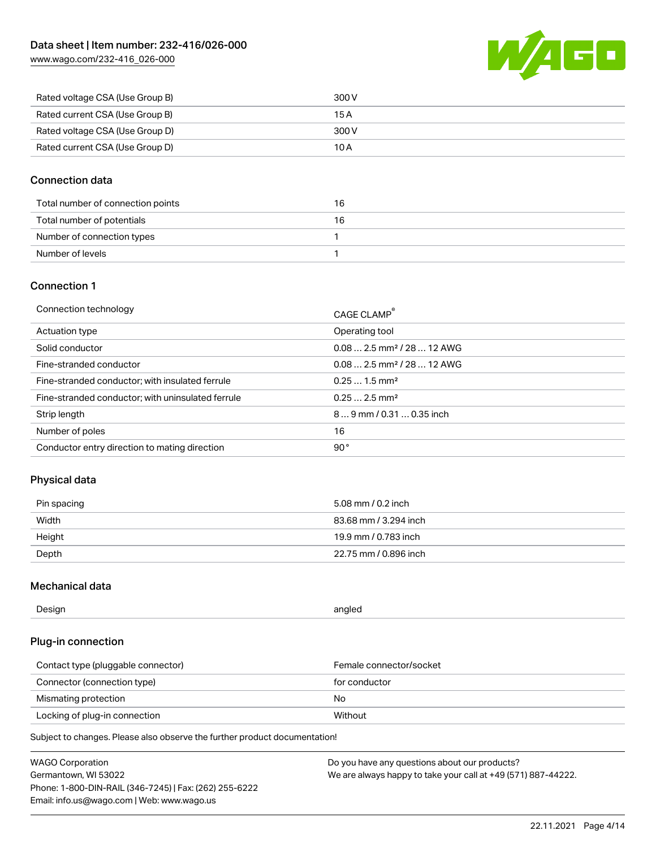[www.wago.com/232-416\\_026-000](http://www.wago.com/232-416_026-000)



| Rated voltage CSA (Use Group B) | 300 V |
|---------------------------------|-------|
| Rated current CSA (Use Group B) | 15 A  |
| Rated voltage CSA (Use Group D) | 300 V |
| Rated current CSA (Use Group D) | 10 A  |

#### Connection data

| Total number of connection points | 16 |
|-----------------------------------|----|
| Total number of potentials        | 16 |
| Number of connection types        |    |
| Number of levels                  |    |

#### Connection 1

| Connection technology                             | CAGE CLAMP®                            |
|---------------------------------------------------|----------------------------------------|
| Actuation type                                    | Operating tool                         |
| Solid conductor                                   | $0.082.5$ mm <sup>2</sup> / 28  12 AWG |
| Fine-stranded conductor                           | $0.082.5$ mm <sup>2</sup> / 28  12 AWG |
| Fine-stranded conductor; with insulated ferrule   | $0.251.5$ mm <sup>2</sup>              |
| Fine-stranded conductor; with uninsulated ferrule | $0.252.5$ mm <sup>2</sup>              |
| Strip length                                      | $89$ mm $/ 0.310.35$ inch              |
| Number of poles                                   | 16                                     |
| Conductor entry direction to mating direction     | 90°                                    |

### Physical data

| Pin spacing | 5.08 mm / 0.2 inch    |
|-------------|-----------------------|
| Width       | 83.68 mm / 3.294 inch |
| Height      | 19.9 mm / 0.783 inch  |
| Depth       | 22.75 mm / 0.896 inch |

### Mechanical data

| --<br>Design | angled<br>. . |
|--------------|---------------|
|              |               |

### Plug-in connection

| Contact type (pluggable connector) | Female connector/socket |
|------------------------------------|-------------------------|
| Connector (connection type)        | for conductor           |
| Mismating protection               | No                      |
| Locking of plug-in connection      | Without                 |

Subject to changes. Please also observe the further product documentation!

| <b>WAGO Corporation</b>                                | Do you have any questions about our products?                 |
|--------------------------------------------------------|---------------------------------------------------------------|
| Germantown, WI 53022                                   | We are always happy to take your call at +49 (571) 887-44222. |
| Phone: 1-800-DIN-RAIL (346-7245)   Fax: (262) 255-6222 |                                                               |
| Email: info.us@wago.com   Web: www.wago.us             |                                                               |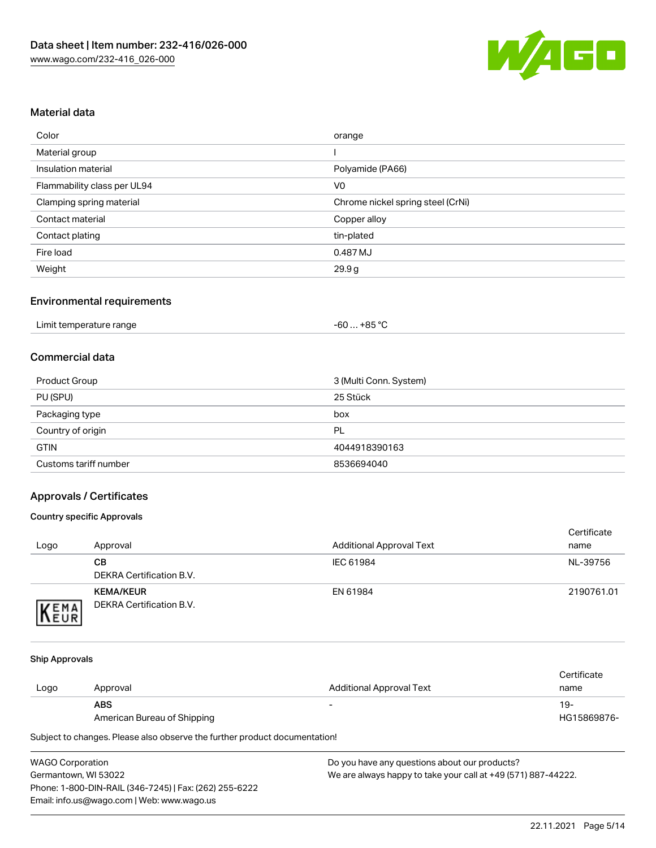

#### Material data

| Color                       | orange                            |
|-----------------------------|-----------------------------------|
| Material group              |                                   |
| Insulation material         | Polyamide (PA66)                  |
| Flammability class per UL94 | V <sub>0</sub>                    |
| Clamping spring material    | Chrome nickel spring steel (CrNi) |
| Contact material            | Copper alloy                      |
| Contact plating             | tin-plated                        |
| Fire load                   | 0.487 MJ                          |
| Weight                      | 29.9g                             |

#### Environmental requirements

| Limit temperature range<br>. | . +85 °ົ<br>cn.<br>-ou |  |
|------------------------------|------------------------|--|
|------------------------------|------------------------|--|

#### Commercial data

| Product Group         | 3 (Multi Conn. System) |
|-----------------------|------------------------|
| PU (SPU)              | 25 Stück               |
| Packaging type        | box                    |
| Country of origin     | PL                     |
| <b>GTIN</b>           | 4044918390163          |
| Customs tariff number | 8536694040             |

### Approvals / Certificates

#### Country specific Approvals

| Logo                | Approval                                            | <b>Additional Approval Text</b> | Certificate<br>name |
|---------------------|-----------------------------------------------------|---------------------------------|---------------------|
|                     | CВ<br>DEKRA Certification B.V.                      | IEC 61984                       | NL-39756            |
| EMA<br><b>INEUR</b> | <b>KEMA/KEUR</b><br><b>DEKRA Certification B.V.</b> | EN 61984                        | 2190761.01          |

#### Ship Approvals

|      |                             |                                 | Certificate |
|------|-----------------------------|---------------------------------|-------------|
| Logo | Approval                    | <b>Additional Approval Text</b> | name        |
|      | <b>ABS</b>                  | $\overline{\phantom{0}}$        | 19-         |
|      | American Bureau of Shipping |                                 | HG15869876- |

Subject to changes. Please also observe the further product documentation!

| <b>WAGO Corporation</b>                                |   |
|--------------------------------------------------------|---|
| Germantown, WI 53022                                   | N |
| Phone: 1-800-DIN-RAIL (346-7245)   Fax: (262) 255-6222 |   |
| Email: info.us@wago.com   Web: www.wago.us             |   |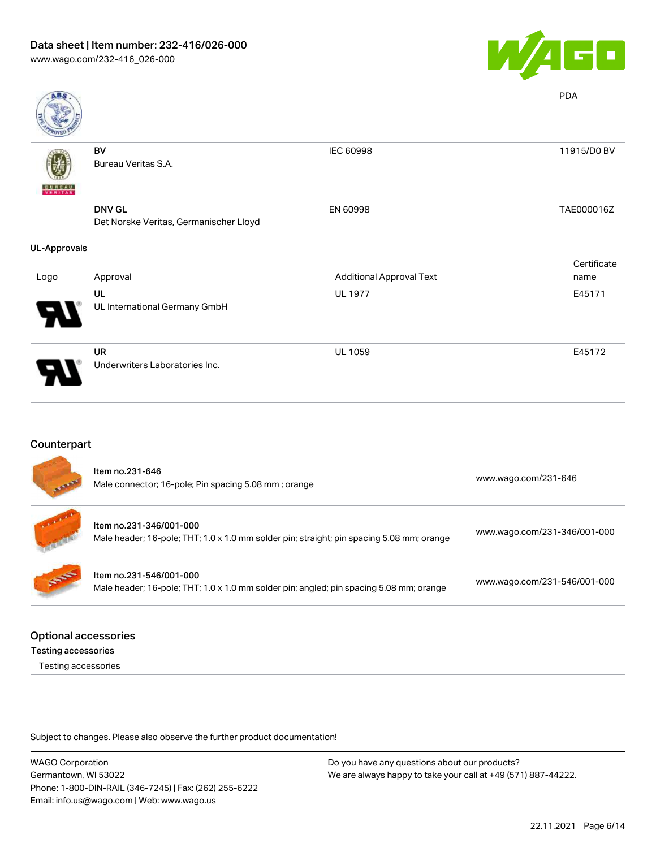

| <b>ABS</b>          |                                        |                                 | <b>PDA</b>  |
|---------------------|----------------------------------------|---------------------------------|-------------|
|                     | BV                                     | IEC 60998                       | 11915/D0 BV |
|                     | Bureau Veritas S.A.                    |                                 |             |
| <b>BUNEAU</b>       |                                        |                                 |             |
|                     | <b>DNV GL</b>                          | EN 60998                        | TAE000016Z  |
|                     | Det Norske Veritas, Germanischer Lloyd |                                 |             |
| <b>UL-Approvals</b> |                                        |                                 |             |
|                     |                                        |                                 | Certificate |
| Logo                | Approval                               | <b>Additional Approval Text</b> | name        |
|                     | UL                                     | <b>UL 1977</b>                  | E45171      |
|                     | UL International Germany GmbH          |                                 |             |
|                     | UR                                     | <b>UL 1059</b>                  | E45172      |
|                     | Underwriters Laboratories Inc.         |                                 |             |

## Counterpart

| <b>Canada</b> | Item no.231-646<br>Male connector; 16-pole; Pin spacing 5.08 mm; orange                                              | www.wago.com/231-646         |
|---------------|----------------------------------------------------------------------------------------------------------------------|------------------------------|
|               | Item no.231-346/001-000<br>Male header; 16-pole; THT; 1.0 x 1.0 mm solder pin; straight; pin spacing 5.08 mm; orange | www.wago.com/231-346/001-000 |
| 55            | Item no.231-546/001-000<br>Male header; 16-pole; THT; 1.0 x 1.0 mm solder pin; angled; pin spacing 5.08 mm; orange   | www.wago.com/231-546/001-000 |
|               |                                                                                                                      |                              |

#### Optional accessories

Testing accessories

Testing accessories

Subject to changes. Please also observe the further product documentation!

WAGO Corporation Germantown, WI 53022 Phone: 1-800-DIN-RAIL (346-7245) | Fax: (262) 255-6222 Email: info.us@wago.com | Web: www.wago.us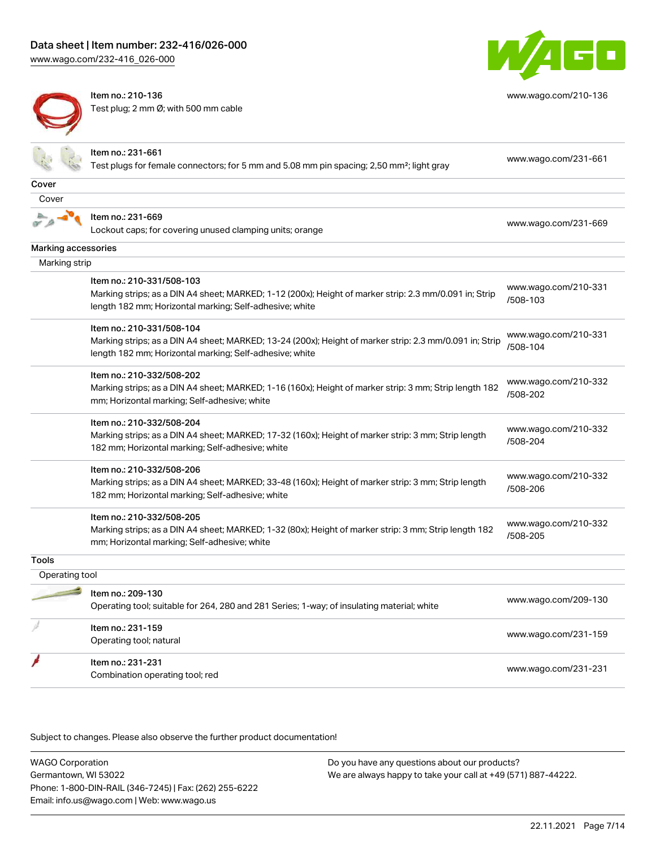[www.wago.com/232-416\\_026-000](http://www.wago.com/232-416_026-000)



Item no.: 210-136 Test plug; 2 mm Ø; with 500 mm cable



[www.wago.com/210-136](http://www.wago.com/210-136)

|                     | Item no.: 231-661<br>Test plugs for female connectors; for 5 mm and 5.08 mm pin spacing; 2,50 mm <sup>2</sup> ; light gray | www.wago.com/231-661             |
|---------------------|----------------------------------------------------------------------------------------------------------------------------|----------------------------------|
| Cover               |                                                                                                                            |                                  |
| Cover               |                                                                                                                            |                                  |
|                     | Item no.: 231-669                                                                                                          |                                  |
|                     | Lockout caps; for covering unused clamping units; orange                                                                   | www.wago.com/231-669             |
| Marking accessories |                                                                                                                            |                                  |
| Marking strip       |                                                                                                                            |                                  |
|                     | Item no.: 210-331/508-103                                                                                                  |                                  |
|                     | Marking strips; as a DIN A4 sheet; MARKED; 1-12 (200x); Height of marker strip: 2.3 mm/0.091 in; Strip                     | www.wago.com/210-331             |
|                     | length 182 mm; Horizontal marking; Self-adhesive; white                                                                    | /508-103                         |
|                     | Item no.: 210-331/508-104                                                                                                  |                                  |
|                     | Marking strips; as a DIN A4 sheet; MARKED; 13-24 (200x); Height of marker strip: 2.3 mm/0.091 in; Strip                    | www.wago.com/210-331             |
|                     | length 182 mm; Horizontal marking; Self-adhesive; white                                                                    | /508-104                         |
|                     | Item no.: 210-332/508-202                                                                                                  |                                  |
|                     | Marking strips; as a DIN A4 sheet; MARKED; 1-16 (160x); Height of marker strip: 3 mm; Strip length 182                     | www.wago.com/210-332             |
|                     | mm; Horizontal marking; Self-adhesive; white                                                                               | /508-202                         |
|                     | Item no.: 210-332/508-204                                                                                                  |                                  |
|                     | Marking strips; as a DIN A4 sheet; MARKED; 17-32 (160x); Height of marker strip: 3 mm; Strip length                        | www.wago.com/210-332<br>/508-204 |
|                     | 182 mm; Horizontal marking; Self-adhesive; white                                                                           |                                  |
|                     | Item no.: 210-332/508-206                                                                                                  |                                  |
|                     | Marking strips; as a DIN A4 sheet; MARKED; 33-48 (160x); Height of marker strip: 3 mm; Strip length                        | www.wago.com/210-332<br>/508-206 |
|                     | 182 mm; Horizontal marking; Self-adhesive; white                                                                           |                                  |
|                     | Item no.: 210-332/508-205                                                                                                  |                                  |
|                     | Marking strips; as a DIN A4 sheet; MARKED; 1-32 (80x); Height of marker strip: 3 mm; Strip length 182                      | www.wago.com/210-332<br>/508-205 |
|                     | mm; Horizontal marking; Self-adhesive; white                                                                               |                                  |
| <b>Tools</b>        |                                                                                                                            |                                  |
| Operating tool      |                                                                                                                            |                                  |
|                     | Item no.: 209-130                                                                                                          | www.wago.com/209-130             |
|                     | Operating tool; suitable for 264, 280 and 281 Series; 1-way; of insulating material; white                                 |                                  |
|                     | Item no.: 231-159                                                                                                          |                                  |
|                     | Operating tool; natural                                                                                                    | www.wago.com/231-159             |
|                     | Item no.: 231-231                                                                                                          |                                  |
|                     | Combination operating tool; red                                                                                            | www.wago.com/231-231             |

Subject to changes. Please also observe the further product documentation!

WAGO Corporation Germantown, WI 53022 Phone: 1-800-DIN-RAIL (346-7245) | Fax: (262) 255-6222 Email: info.us@wago.com | Web: www.wago.us Do you have any questions about our products? We are always happy to take your call at +49 (571) 887-44222.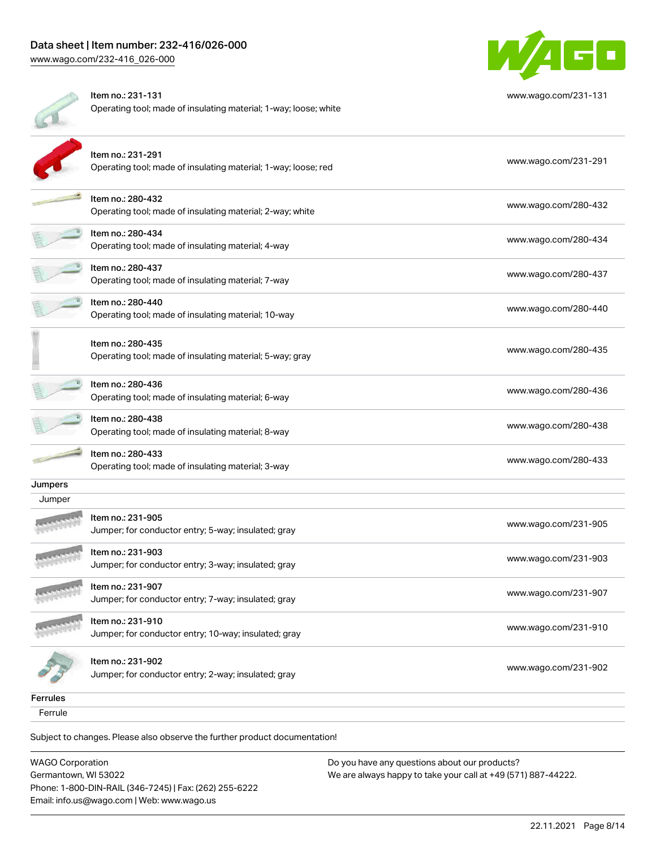W/AGO

|          | Item no.: 231-131<br>Operating tool; made of insulating material; 1-way; loose; white | www.wago.com/231-131 |
|----------|---------------------------------------------------------------------------------------|----------------------|
|          | Item no.: 231-291<br>Operating tool; made of insulating material; 1-way; loose; red   | www.wago.com/231-291 |
|          | Item no.: 280-432<br>Operating tool; made of insulating material; 2-way; white        | www.wago.com/280-432 |
|          | Item no.: 280-434<br>Operating tool; made of insulating material; 4-way               | www.wago.com/280-434 |
|          | Item no.: 280-437<br>Operating tool; made of insulating material; 7-way               | www.wago.com/280-437 |
|          | Item no.: 280-440<br>Operating tool; made of insulating material; 10-way              | www.wago.com/280-440 |
|          | Item no.: 280-435<br>Operating tool; made of insulating material; 5-way; gray         | www.wago.com/280-435 |
|          | Item no.: 280-436<br>Operating tool; made of insulating material; 6-way               | www.wago.com/280-436 |
|          | Item no.: 280-438<br>Operating tool; made of insulating material; 8-way               | www.wago.com/280-438 |
|          | Item no.: 280-433<br>Operating tool; made of insulating material; 3-way               | www.wago.com/280-433 |
| Jumpers  |                                                                                       |                      |
| Jumper   |                                                                                       |                      |
|          | Item no.: 231-905<br>Jumper; for conductor entry; 5-way; insulated; gray              | www.wago.com/231-905 |
|          | Item no.: 231-903<br>Jumper; for conductor entry; 3-way; insulated; gray              | www.wago.com/231-903 |
|          | Item no.: 231-907<br>Jumper; for conductor entry; 7-way; insulated; gray              | www.wago.com/231-907 |
|          | Item no.: 231-910<br>Jumper; for conductor entry; 10-way; insulated; gray             | www.wago.com/231-910 |
|          | Item no.: 231-902<br>Jumper; for conductor entry; 2-way; insulated; gray              | www.wago.com/231-902 |
| Ferrules |                                                                                       |                      |
| Ferrule  |                                                                                       |                      |

Subject to changes. Please also observe the further product documentation!

WAGO Corporation Germantown, WI 53022 Phone: 1-800-DIN-RAIL (346-7245) | Fax: (262) 255-6222 Email: info.us@wago.com | Web: www.wago.us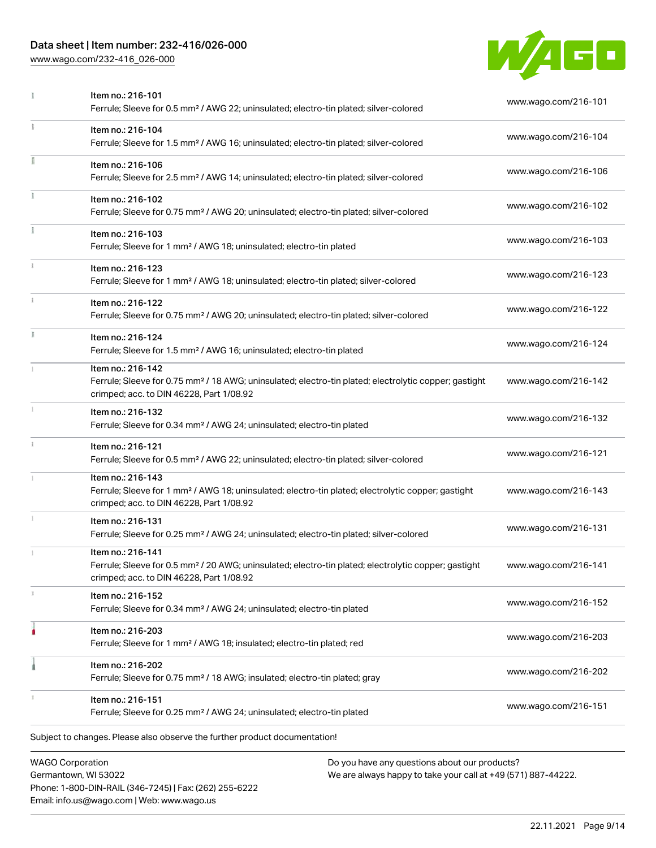## Data sheet | Item number: 232-416/026-000

[www.wago.com/232-416\\_026-000](http://www.wago.com/232-416_026-000)



| î. | Ferrule; Sleeve for 1 mm <sup>2</sup> / AWG 18; uninsulated; electro-tin plated; silver-colored<br>Item no.: 216-122                                                              | www.wago.com/216-123<br>www.wago.com/216-122 |
|----|-----------------------------------------------------------------------------------------------------------------------------------------------------------------------------------|----------------------------------------------|
| Ĭ. | Ferrule; Sleeve for 0.75 mm <sup>2</sup> / AWG 20; uninsulated; electro-tin plated; silver-colored<br>Item no.: 216-124                                                           | www.wago.com/216-124                         |
|    | Ferrule; Sleeve for 1.5 mm <sup>2</sup> / AWG 16; uninsulated; electro-tin plated<br>Item no.: 216-142                                                                            |                                              |
|    | Ferrule; Sleeve for 0.75 mm <sup>2</sup> / 18 AWG; uninsulated; electro-tin plated; electrolytic copper; gastight<br>crimped; acc. to DIN 46228, Part 1/08.92                     | www.wago.com/216-142                         |
|    | Item no.: 216-132<br>Ferrule; Sleeve for 0.34 mm <sup>2</sup> / AWG 24; uninsulated; electro-tin plated                                                                           | www.wago.com/216-132                         |
| î. | Item no.: 216-121<br>Ferrule; Sleeve for 0.5 mm <sup>2</sup> / AWG 22; uninsulated; electro-tin plated; silver-colored                                                            | www.wago.com/216-121                         |
|    | Item no.: 216-143<br>Ferrule; Sleeve for 1 mm <sup>2</sup> / AWG 18; uninsulated; electro-tin plated; electrolytic copper; gastight<br>crimped; acc. to DIN 46228, Part 1/08.92   | www.wago.com/216-143                         |
|    | Item no.: 216-131<br>Ferrule; Sleeve for 0.25 mm <sup>2</sup> / AWG 24; uninsulated; electro-tin plated; silver-colored                                                           | www.wago.com/216-131                         |
|    | Item no.: 216-141<br>Ferrule; Sleeve for 0.5 mm <sup>2</sup> / 20 AWG; uninsulated; electro-tin plated; electrolytic copper; gastight<br>crimped; acc. to DIN 46228, Part 1/08.92 | www.wago.com/216-141                         |
| 1  | Item no.: 216-152<br>Ferrule; Sleeve for 0.34 mm <sup>2</sup> / AWG 24; uninsulated; electro-tin plated                                                                           | www.wago.com/216-152                         |
|    | Item no.: 216-203<br>Ferrule; Sleeve for 1 mm <sup>2</sup> / AWG 18; insulated; electro-tin plated; red                                                                           | www.wago.com/216-203                         |
|    | Item no.: 216-202<br>Ferrule; Sleeve for 0.75 mm <sup>2</sup> / 18 AWG; insulated; electro-tin plated; gray                                                                       | www.wago.com/216-202                         |
|    | Item no.: 216-151                                                                                                                                                                 | www.wago.com/216-151                         |

Germantown, WI 53022 Phone: 1-800-DIN-RAIL (346-7245) | Fax: (262) 255-6222 Email: info.us@wago.com | Web: www.wago.us

We are always happy to take your call at +49 (571) 887-44222.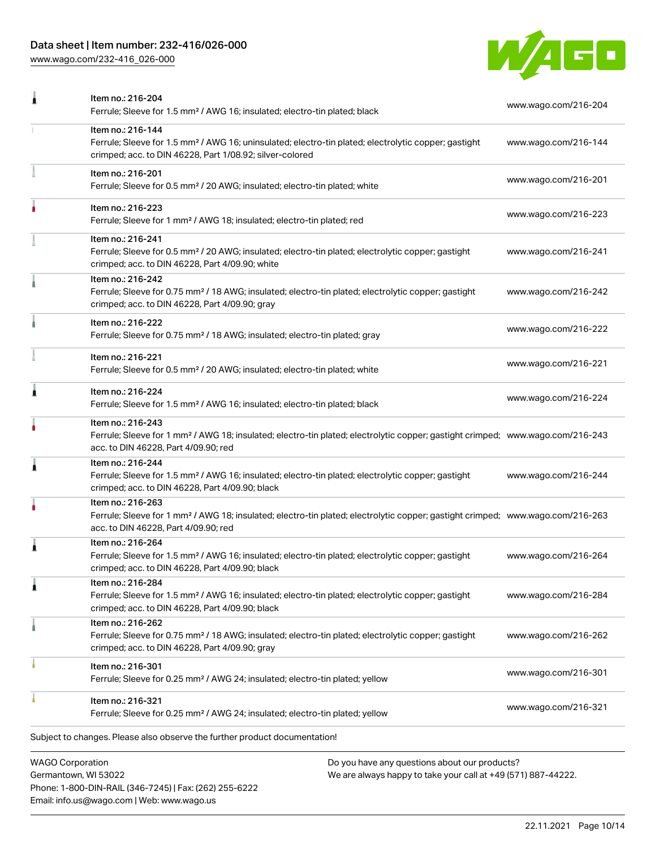## Data sheet | Item number: 232-416/026-000

Phone: 1-800-DIN-RAIL (346-7245) | Fax: (262) 255-6222

Email: info.us@wago.com | Web: www.wago.us

[www.wago.com/232-416\\_026-000](http://www.wago.com/232-416_026-000)



|                         | Item no.: 216-204                                                                                                                                                                                       |                                                                                                                | www.wago.com/216-204 |
|-------------------------|---------------------------------------------------------------------------------------------------------------------------------------------------------------------------------------------------------|----------------------------------------------------------------------------------------------------------------|----------------------|
|                         | Ferrule; Sleeve for 1.5 mm <sup>2</sup> / AWG 16; insulated; electro-tin plated; black                                                                                                                  |                                                                                                                |                      |
|                         | Item no.: 216-144<br>Ferrule; Sleeve for 1.5 mm <sup>2</sup> / AWG 16; uninsulated; electro-tin plated; electrolytic copper; gastight<br>crimped; acc. to DIN 46228, Part 1/08.92; silver-colored       |                                                                                                                | www.wago.com/216-144 |
|                         | Item no.: 216-201<br>Ferrule; Sleeve for 0.5 mm <sup>2</sup> / 20 AWG; insulated; electro-tin plated; white                                                                                             |                                                                                                                | www.wago.com/216-201 |
|                         | Item no.: 216-223<br>Ferrule; Sleeve for 1 mm <sup>2</sup> / AWG 18; insulated; electro-tin plated; red                                                                                                 |                                                                                                                | www.wago.com/216-223 |
|                         | Item no.: 216-241<br>Ferrule; Sleeve for 0.5 mm <sup>2</sup> / 20 AWG; insulated; electro-tin plated; electrolytic copper; gastight<br>crimped; acc. to DIN 46228, Part 4/09.90; white                  |                                                                                                                | www.wago.com/216-241 |
|                         | Item no.: 216-242<br>Ferrule; Sleeve for 0.75 mm <sup>2</sup> / 18 AWG; insulated; electro-tin plated; electrolytic copper; gastight<br>crimped; acc. to DIN 46228, Part 4/09.90; gray                  |                                                                                                                | www.wago.com/216-242 |
|                         | Item no.: 216-222<br>Ferrule; Sleeve for 0.75 mm <sup>2</sup> / 18 AWG; insulated; electro-tin plated; gray                                                                                             |                                                                                                                | www.wago.com/216-222 |
|                         | Item no.: 216-221<br>Ferrule; Sleeve for 0.5 mm <sup>2</sup> / 20 AWG; insulated; electro-tin plated; white                                                                                             |                                                                                                                | www.wago.com/216-221 |
|                         | Item no.: 216-224<br>Ferrule; Sleeve for 1.5 mm <sup>2</sup> / AWG 16; insulated; electro-tin plated; black                                                                                             |                                                                                                                | www.wago.com/216-224 |
|                         | Item no.: 216-243<br>Ferrule; Sleeve for 1 mm <sup>2</sup> / AWG 18; insulated; electro-tin plated; electrolytic copper; gastight crimped; www.wago.com/216-243<br>acc. to DIN 46228, Part 4/09.90; red |                                                                                                                |                      |
| 1                       | Item no.: 216-244<br>Ferrule; Sleeve for 1.5 mm <sup>2</sup> / AWG 16; insulated; electro-tin plated; electrolytic copper; gastight<br>crimped; acc. to DIN 46228, Part 4/09.90; black                  |                                                                                                                | www.wago.com/216-244 |
|                         | Item no.: 216-263<br>Ferrule; Sleeve for 1 mm <sup>2</sup> / AWG 18; insulated; electro-tin plated; electrolytic copper; gastight crimped; www.wago.com/216-263<br>acc. to DIN 46228, Part 4/09.90; red |                                                                                                                |                      |
|                         | Item no.: 216-264<br>Ferrule; Sleeve for 1.5 mm <sup>2</sup> / AWG 16; insulated; electro-tin plated; electrolytic copper; gastight<br>crimped; acc. to DIN 46228, Part 4/09.90; black                  |                                                                                                                | www.wago.com/216-264 |
|                         | Item no.: 216-284<br>Ferrule; Sleeve for 1.5 mm <sup>2</sup> / AWG 16; insulated; electro-tin plated; electrolytic copper; gastight<br>crimped; acc. to DIN 46228, Part 4/09.90; black                  |                                                                                                                | www.wago.com/216-284 |
|                         | Item no.: 216-262<br>Ferrule; Sleeve for 0.75 mm <sup>2</sup> / 18 AWG; insulated; electro-tin plated; electrolytic copper; gastight<br>crimped; acc. to DIN 46228, Part 4/09.90; gray                  |                                                                                                                | www.wago.com/216-262 |
|                         | Item no.: 216-301<br>Ferrule; Sleeve for 0.25 mm <sup>2</sup> / AWG 24; insulated; electro-tin plated; yellow                                                                                           |                                                                                                                | www.wago.com/216-301 |
|                         | Item no.: 216-321<br>Ferrule; Sleeve for 0.25 mm <sup>2</sup> / AWG 24; insulated; electro-tin plated; yellow                                                                                           |                                                                                                                | www.wago.com/216-321 |
|                         | Subject to changes. Please also observe the further product documentation!                                                                                                                              |                                                                                                                |                      |
| <b>WAGO Corporation</b> | Germantown, WI 53022                                                                                                                                                                                    | Do you have any questions about our products?<br>We are always happy to take your call at +49 (571) 887-44222. |                      |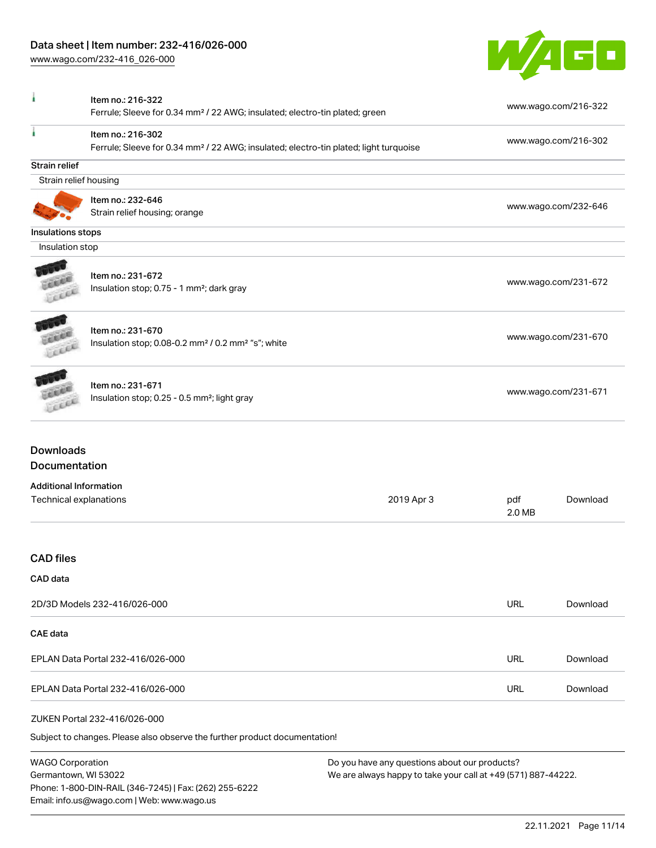Phone: 1-800-DIN-RAIL (346-7245) | Fax: (262) 255-6222

Email: info.us@wago.com | Web: www.wago.us

[www.wago.com/232-416\\_026-000](http://www.wago.com/232-416_026-000)



| Item no.: 216-322<br>Ferrule; Sleeve for 0.34 mm <sup>2</sup> / 22 AWG; insulated; electro-tin plated; green |                                                                                                                        |                                                               |                      | www.wago.com/216-322 |
|--------------------------------------------------------------------------------------------------------------|------------------------------------------------------------------------------------------------------------------------|---------------------------------------------------------------|----------------------|----------------------|
|                                                                                                              | Item no.: 216-302<br>Ferrule; Sleeve for 0.34 mm <sup>2</sup> / 22 AWG; insulated; electro-tin plated; light turquoise |                                                               | www.wago.com/216-302 |                      |
| Strain relief                                                                                                |                                                                                                                        |                                                               |                      |                      |
| Strain relief housing                                                                                        |                                                                                                                        |                                                               |                      |                      |
|                                                                                                              | Item no.: 232-646                                                                                                      |                                                               |                      |                      |
|                                                                                                              | Strain relief housing; orange                                                                                          |                                                               |                      | www.wago.com/232-646 |
| Insulations stops                                                                                            |                                                                                                                        |                                                               |                      |                      |
| Insulation stop                                                                                              |                                                                                                                        |                                                               |                      |                      |
|                                                                                                              |                                                                                                                        |                                                               |                      |                      |
|                                                                                                              | Item no.: 231-672                                                                                                      |                                                               |                      |                      |
|                                                                                                              | Insulation stop; 0.75 - 1 mm <sup>2</sup> ; dark gray                                                                  |                                                               |                      | www.wago.com/231-672 |
|                                                                                                              |                                                                                                                        |                                                               |                      |                      |
|                                                                                                              |                                                                                                                        |                                                               |                      |                      |
|                                                                                                              | Item no.: 231-670<br>Insulation stop; 0.08-0.2 mm <sup>2</sup> / 0.2 mm <sup>2</sup> "s"; white                        |                                                               |                      | www.wago.com/231-670 |
| Leece                                                                                                        |                                                                                                                        |                                                               |                      |                      |
|                                                                                                              |                                                                                                                        |                                                               |                      |                      |
|                                                                                                              | Item no.: 231-671                                                                                                      |                                                               |                      | www.wago.com/231-671 |
|                                                                                                              | Insulation stop; 0.25 - 0.5 mm <sup>2</sup> ; light gray                                                               |                                                               |                      |                      |
| <b>Downloads</b><br>Documentation<br><b>Additional Information</b><br>Technical explanations                 |                                                                                                                        | 2019 Apr 3                                                    | pdf<br>2.0 MB        | Download             |
|                                                                                                              |                                                                                                                        |                                                               |                      |                      |
| <b>CAD</b> files                                                                                             |                                                                                                                        |                                                               |                      |                      |
| CAD data                                                                                                     |                                                                                                                        |                                                               |                      |                      |
|                                                                                                              | 2D/3D Models 232-416/026-000                                                                                           |                                                               | <b>URL</b>           | Download             |
| CAE data                                                                                                     |                                                                                                                        |                                                               |                      |                      |
| EPLAN Data Portal 232-416/026-000                                                                            |                                                                                                                        |                                                               | <b>URL</b>           | Download             |
|                                                                                                              | EPLAN Data Portal 232-416/026-000                                                                                      |                                                               | <b>URL</b>           | Download             |
|                                                                                                              | ZUKEN Portal 232-416/026-000                                                                                           |                                                               |                      |                      |
|                                                                                                              | Subject to changes. Please also observe the further product documentation!                                             |                                                               |                      |                      |
| <b>WAGO Corporation</b>                                                                                      |                                                                                                                        | Do you have any questions about our products?                 |                      |                      |
| Germantown, WI 53022                                                                                         |                                                                                                                        | We are always happy to take your call at +49 (571) 887-44222. |                      |                      |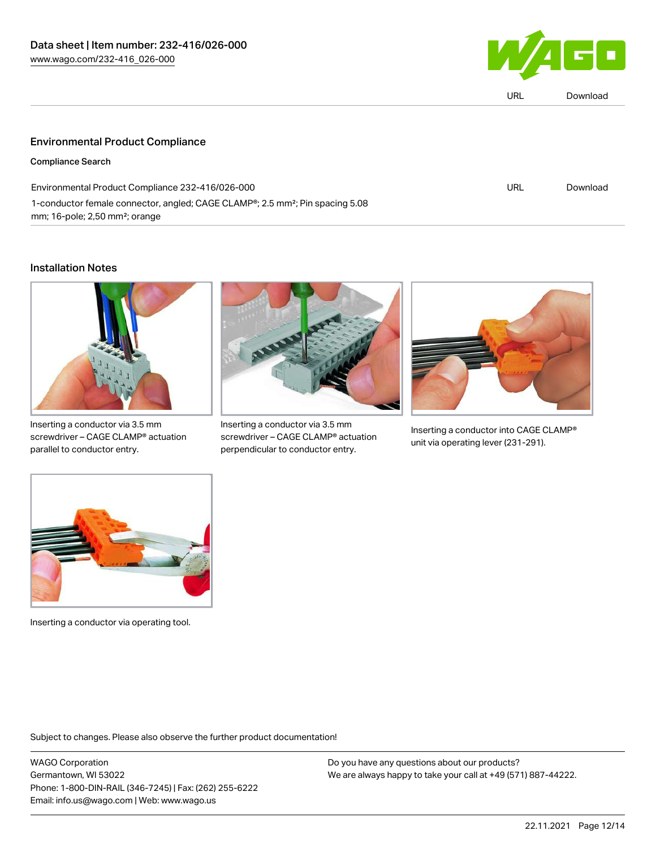

|  | Download |
|--|----------|
|  |          |

### Environmental Product Compliance

Compliance Search

| Environmental Product Compliance 232-416/026-000                                                       | URL | Download |
|--------------------------------------------------------------------------------------------------------|-----|----------|
| 1-conductor female connector, angled; CAGE CLAMP <sup>®</sup> ; 2.5 mm <sup>2</sup> ; Pin spacing 5.08 |     |          |
| $mm$ ; 16-pole; 2,50 $mm$ ?; orange                                                                    |     |          |

#### Installation Notes



Inserting a conductor via 3.5 mm screwdriver – CAGE CLAMP® actuation parallel to conductor entry.



Inserting a conductor via 3.5 mm screwdriver – CAGE CLAMP® actuation perpendicular to conductor entry.



Inserting a conductor into CAGE CLAMP® unit via operating lever (231-291).



Inserting a conductor via operating tool.

Subject to changes. Please also observe the further product documentation!

WAGO Corporation Germantown, WI 53022 Phone: 1-800-DIN-RAIL (346-7245) | Fax: (262) 255-6222 Email: info.us@wago.com | Web: www.wago.us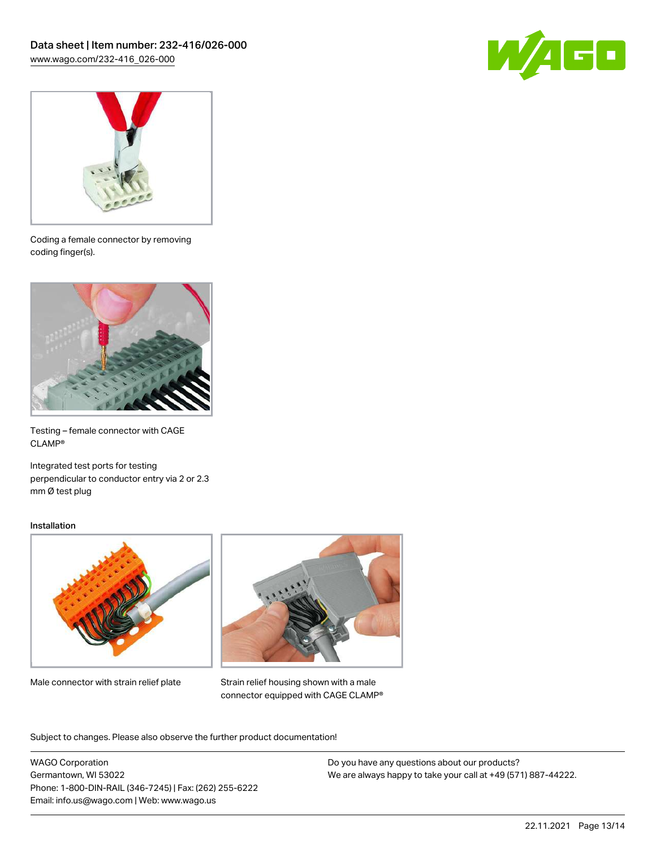



Coding a female connector by removing coding finger(s).



Testing – female connector with CAGE CLAMP®

Integrated test ports for testing perpendicular to conductor entry via 2 or 2.3 mm Ø test plug

#### Installation



Male connector with strain relief plate



Strain relief housing shown with a male connector equipped with CAGE CLAMP®

Subject to changes. Please also observe the further product documentation!

WAGO Corporation Germantown, WI 53022 Phone: 1-800-DIN-RAIL (346-7245) | Fax: (262) 255-6222 Email: info.us@wago.com | Web: www.wago.us